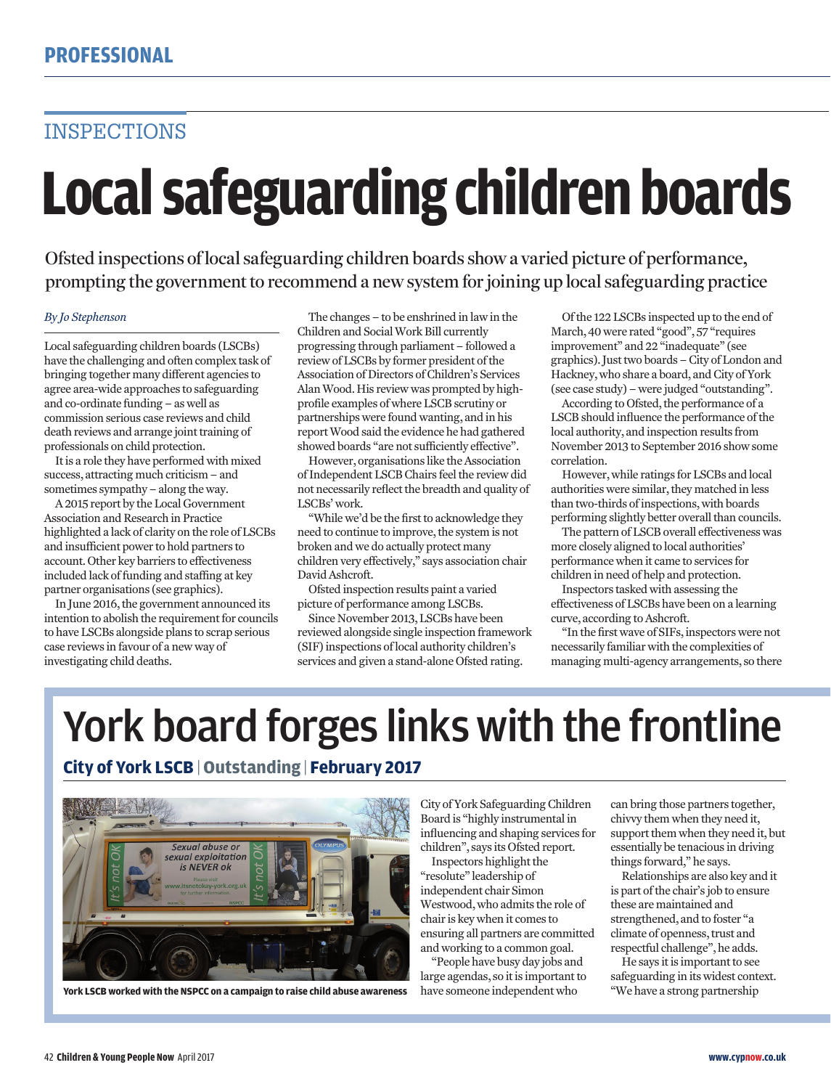## INSPECTIONS

# **Local safeguarding children boards**

Ofsted inspections of local safeguarding children boards show a varied picture of performance, prompting the government to recommend a new system for joining up local safeguarding practice

### *By Jo Stephenson*

Local safeguarding children boards (LSCBs) have the challenging and often complex task of bringing together many different agencies to agree area-wide approaches to safeguarding and co-ordinate funding – as well as commission serious case reviews and child death reviews and arrange joint training of professionals on child protection.

It is a role they have performed with mixed success, attracting much criticism – and sometimes sympathy – along the way.

A 2015 report by the Local Government Association and Research in Practice highlighted a lack of clarity on the role of LSCBs and insufficient power to hold partners to account. Other key barriers to effectiveness included lack of funding and staffing at key partner organisations (see graphics).

In June 2016, the government announced its intention to abolish the requirement for councils to have LSCBs alongside plans to scrap serious case reviews in favour of a new way of investigating child deaths.

The changes – to be enshrined in law in the Children and Social Work Bill currently progressing through parliament – followed a review of LSCBs by former president of the Association of Directors of Children's Services Alan Wood. His review was prompted by highprofile examples of where LSCB scrutiny or partnerships were found wanting, and in his report Wood said the evidence he had gathered showed boards "are not sufficiently effective".

However, organisations like the Association of Independent LSCB Chairs feel the review did not necessarily reflect the breadth and quality of LSCBs' work.

"While we'd be the first to acknowledge they need to continue to improve, the system is not broken and we do actually protect many children very effectively," says association chair David Ashcroft.

Ofsted inspection results paint a varied picture of performance among LSCBs.

Since November 2013, LSCBs have been reviewed alongside single inspection framework (SIF) inspections of local authority children's services and given a stand-alone Ofsted rating.

Of the 122 LSCBs inspected up to the end of March, 40 were rated "good", 57 "requires improvement" and 22 "inadequate" (see graphics). Just two boards – City of London and Hackney, who share a board, and City of York (see case study) – were judged "outstanding".

According to Ofsted, the performance of a LSCB should influence the performance of the local authority, and inspection results from November 2013 to September 2016 show some correlation.

However, while ratings for LSCBs and local authorities were similar, they matched in less than two-thirds of inspections, with boards performing slightly better overall than councils.

The pattern of LSCB overall effectiveness was more closely aligned to local authorities' performance when it came to services for children in need of help and protection.

Inspectors tasked with assessing the effectiveness of LSCBs have been on a learning curve, according to Ashcroft.

"In the first wave of SIFs, inspectors were not necessarily familiar with the complexities of managing multi-agency arrangements, so there

# York board forges links with the frontline

### **City of York LSCB** | **Outstanding** | **February 2017**



**York LSCB worked with the NSPCC on a campaign to raise child abuse awareness** have someone independent who "We have a strong partnership

City of York Safeguarding Children Board is "highly instrumental in influencing and shaping services for children", says its Ofsted report.

Inspectors highlight the "resolute" leadership of independent chair Simon Westwood, who admits the role of chair is key when it comes to ensuring all partners are committed and working to a common goal.

"People have busy day jobs and large agendas, so it is important to have someone independent who

can bring those partners together, chivvy them when they need it, support them when they need it, but essentially be tenacious in driving things forward," he says.

Relationships are also key and it is part of the chair's job to ensure these are maintained and strengthened, and to foster "a climate of openness, trust and respectful challenge", he adds.

He says it is important to see safeguarding in its widest context.